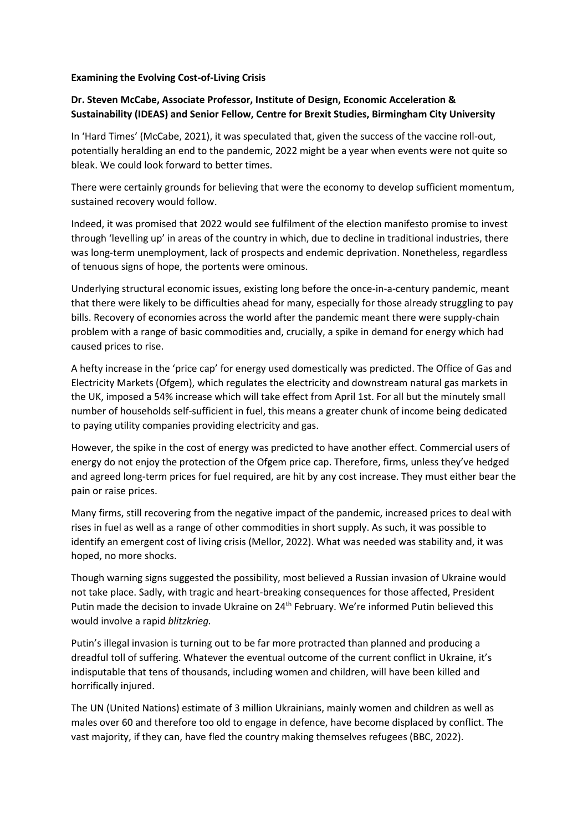## **Examining the Evolving Cost-of-Living Crisis**

## **Dr. Steven McCabe, Associate Professor, Institute of Design, Economic Acceleration & Sustainability (IDEAS) and Senior Fellow, Centre for Brexit Studies, Birmingham City University**

In 'Hard Times' (McCabe, 2021), it was speculated that, given the success of the vaccine roll-out, potentially heralding an end to the pandemic, 2022 might be a year when events were not quite so bleak. We could look forward to better times.

There were certainly grounds for believing that were the economy to develop sufficient momentum, sustained recovery would follow.

Indeed, it was promised that 2022 would see fulfilment of the election manifesto promise to invest through 'levelling up' in areas of the country in which, due to decline in traditional industries, there was long-term unemployment, lack of prospects and endemic deprivation. Nonetheless, regardless of tenuous signs of hope, the portents were ominous.

Underlying structural economic issues, existing long before the once-in-a-century pandemic, meant that there were likely to be difficulties ahead for many, especially for those already struggling to pay bills. Recovery of economies across the world after the pandemic meant there were supply-chain problem with a range of basic commodities and, crucially, a spike in demand for energy which had caused prices to rise.

A hefty increase in the 'price cap' for energy used domestically was predicted. The Office of Gas and Electricity Markets (Ofgem), which regulates the electricity and downstream natural gas markets in the UK, imposed a 54% increase which will take effect from April 1st. For all but the minutely small number of households self-sufficient in fuel, this means a greater chunk of income being dedicated to paying utility companies providing electricity and gas.

However, the spike in the cost of energy was predicted to have another effect. Commercial users of energy do not enjoy the protection of the Ofgem price cap. Therefore, firms, unless they've hedged and agreed long-term prices for fuel required, are hit by any cost increase. They must either bear the pain or raise prices.

Many firms, still recovering from the negative impact of the pandemic, increased prices to deal with rises in fuel as well as a range of other commodities in short supply. As such, it was possible to identify an emergent cost of living crisis (Mellor, 2022). What was needed was stability and, it was hoped, no more shocks.

Though warning signs suggested the possibility, most believed a Russian invasion of Ukraine would not take place. Sadly, with tragic and heart-breaking consequences for those affected, President Putin made the decision to invade Ukraine on 24<sup>th</sup> February. We're informed Putin believed this would involve a rapid *blitzkrieg.*

Putin's illegal invasion is turning out to be far more protracted than planned and producing a dreadful toll of suffering. Whatever the eventual outcome of the current conflict in Ukraine, it's indisputable that tens of thousands, including women and children, will have been killed and horrifically injured.

The UN (United Nations) estimate of 3 million Ukrainians, mainly women and children as well as males over 60 and therefore too old to engage in defence, have become displaced by conflict. The vast majority, if they can, have fled the country making themselves refugees (BBC, 2022).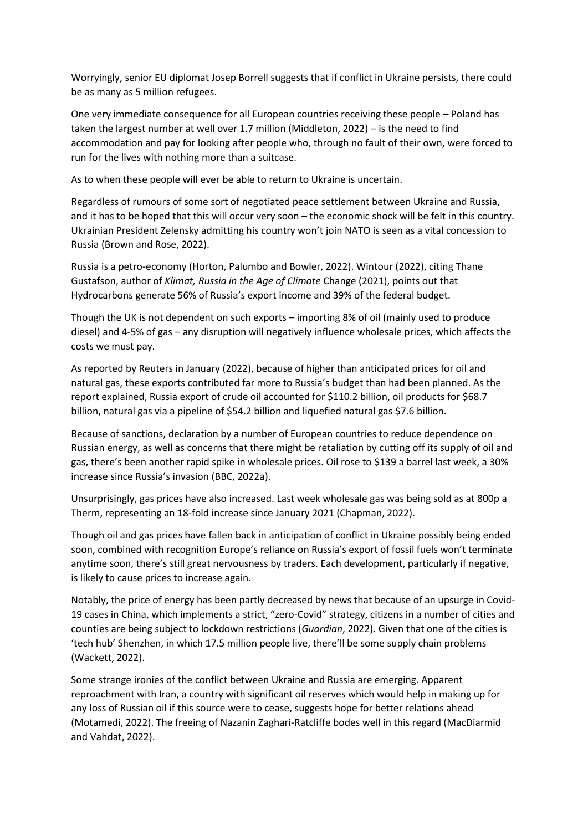Worryingly, senior EU diplomat Josep Borrell suggests that if conflict in Ukraine persists, there could be as many as 5 million refugees.

One very immediate consequence for all European countries receiving these people – Poland has taken the largest number at well over 1.7 million (Middleton, 2022) – is the need to find accommodation and pay for looking after people who, through no fault of their own, were forced to run for the lives with nothing more than a suitcase.

As to when these people will ever be able to return to Ukraine is uncertain.

Regardless of rumours of some sort of negotiated peace settlement between Ukraine and Russia, and it has to be hoped that this will occur very soon – the economic shock will be felt in this country. Ukrainian President Zelensky admitting his country won't join NATO is seen as a vital concession to Russia (Brown and Rose, 2022).

Russia is a petro-economy (Horton, Palumbo and Bowler, 2022). Wintour (2022), citing Thane Gustafson, author of *Klimat, Russia in the Age of Climate* Change (2021), points out that Hydrocarbons generate 56% of Russia's export income and 39% of the federal budget.

Though the UK is not dependent on such exports – importing 8% of oil (mainly used to produce diesel) and 4-5% of gas – any disruption will negatively influence wholesale prices, which affects the costs we must pay.

As reported by Reuters in January (2022), because of higher than anticipated prices for oil and natural gas, these exports contributed far more to Russia's budget than had been planned. As the report explained, Russia export of crude oil accounted for \$110.2 billion, oil products for \$68.7 billion, natural gas via a pipeline of \$54.2 billion and liquefied natural gas \$7.6 billion.

Because of sanctions, declaration by a number of European countries to reduce dependence on Russian energy, as well as concerns that there might be retaliation by cutting off its supply of oil and gas, there's been another rapid spike in wholesale prices. Oil rose to \$139 a barrel last week, a 30% increase since Russia's invasion (BBC, 2022a).

Unsurprisingly, gas prices have also increased. Last week wholesale gas was being sold as at 800p a Therm, representing an 18-fold increase since January 2021 (Chapman, 2022).

Though oil and gas prices have fallen back in anticipation of conflict in Ukraine possibly being ended soon, combined with recognition Europe's reliance on Russia's export of fossil fuels won't terminate anytime soon, there's still great nervousness by traders. Each development, particularly if negative, is likely to cause prices to increase again.

Notably, the price of energy has been partly decreased by news that because of an upsurge in Covid-19 cases in China, which implements a strict, "zero-Covid" strategy, citizens in a number of cities and counties are being subject to lockdown restrictions (*Guardian*, 2022). Given that one of the cities is 'tech hub' Shenzhen, in which 17.5 million people live, there'll be some supply chain problems (Wackett, 2022).

Some strange ironies of the conflict between Ukraine and Russia are emerging. Apparent reproachment with Iran, a country with significant oil reserves which would help in making up for any loss of Russian oil if this source were to cease, suggests hope for better relations ahead (Motamedi, 2022). The freeing of Nazanin Zaghari-Ratcliffe bodes well in this regard (MacDiarmid and Vahdat, 2022).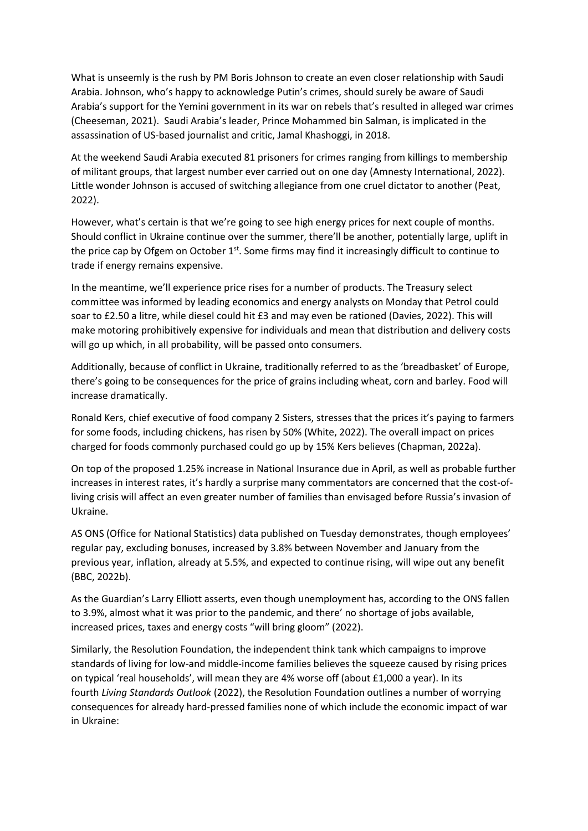What is unseemly is the rush by PM Boris Johnson to create an even closer relationship with Saudi Arabia. Johnson, who's happy to acknowledge Putin's crimes, should surely be aware of Saudi Arabia's support for the Yemini government in its war on rebels that's resulted in alleged war crimes (Cheeseman, 2021). Saudi Arabia's leader, Prince Mohammed bin Salman, is implicated in the assassination of US-based journalist and critic, Jamal Khashoggi, in 2018.

At the weekend Saudi Arabia executed 81 prisoners for crimes ranging from killings to membership of militant groups, that largest number ever carried out on one day (Amnesty International, 2022). Little wonder Johnson is accused of switching allegiance from one cruel dictator to another (Peat, 2022).

However, what's certain is that we're going to see high energy prices for next couple of months. Should conflict in Ukraine continue over the summer, there'll be another, potentially large, uplift in the price cap by Ofgem on October  $1<sup>st</sup>$ . Some firms may find it increasingly difficult to continue to trade if energy remains expensive.

In the meantime, we'll experience price rises for a number of products. The Treasury select committee was informed by leading economics and energy analysts on Monday that Petrol could soar to £2.50 a litre, while diesel could hit £3 and may even be rationed (Davies, 2022). This will make motoring prohibitively expensive for individuals and mean that distribution and delivery costs will go up which, in all probability, will be passed onto consumers.

Additionally, because of conflict in Ukraine, traditionally referred to as the 'breadbasket' of Europe, there's going to be consequences for the price of grains including wheat, corn and barley. Food will increase dramatically.

Ronald Kers, chief executive of food company 2 Sisters, stresses that the prices it's paying to farmers for some foods, including chickens, has risen by 50% (White, 2022). The overall impact on prices charged for foods commonly purchased could go up by 15% Kers believes (Chapman, 2022a).

On top of the proposed 1.25% increase in National Insurance due in April, as well as probable further increases in interest rates, it's hardly a surprise many commentators are concerned that the cost-ofliving crisis will affect an even greater number of families than envisaged before Russia's invasion of Ukraine.

AS ONS (Office for National Statistics) data published on Tuesday demonstrates, though employees' regular pay, excluding bonuses, increased by 3.8% between November and January from the previous year, inflation, already at 5.5%, and expected to continue rising, will wipe out any benefit (BBC, 2022b).

As the Guardian's Larry Elliott asserts, even though unemployment has, according to the ONS fallen to 3.9%, almost what it was prior to the pandemic, and there' no shortage of jobs available, increased prices, taxes and energy costs "will bring gloom" (2022).

Similarly, the Resolution Foundation, the independent think tank which campaigns to improve standards of living for low-and middle-income families believes the squeeze caused by rising prices on typical 'real households', will mean they are 4% worse off (about £1,000 a year). In its fourth *Living Standards Outlook* (2022), the Resolution Foundation outlines a number of worrying consequences for already hard-pressed families none of which include the economic impact of war in Ukraine: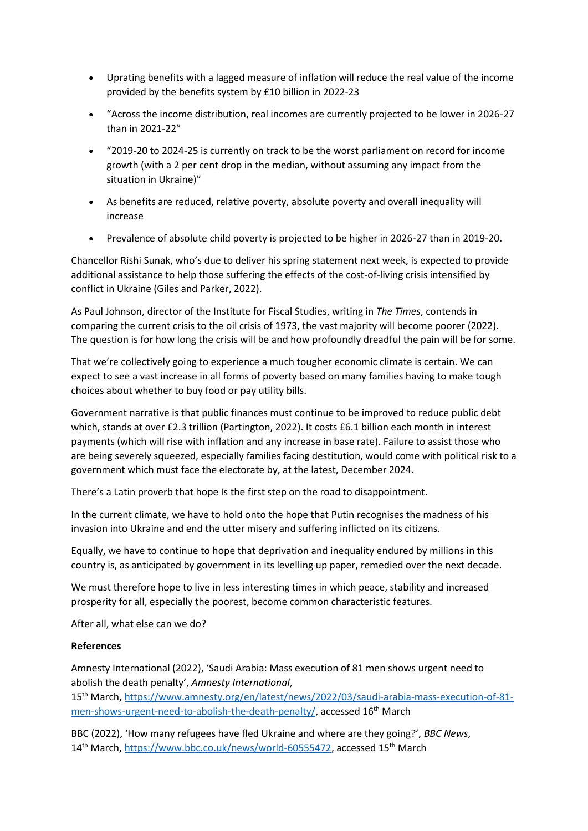- Uprating benefits with a lagged measure of inflation will reduce the real value of the income provided by the benefits system by £10 billion in 2022-23
- "Across the income distribution, real incomes are currently projected to be lower in 2026-27 than in 2021-22"
- "2019-20 to 2024-25 is currently on track to be the worst parliament on record for income growth (with a 2 per cent drop in the median, without assuming any impact from the situation in Ukraine)"
- As benefits are reduced, relative poverty, absolute poverty and overall inequality will increase
- Prevalence of absolute child poverty is projected to be higher in 2026-27 than in 2019-20.

Chancellor Rishi Sunak, who's due to deliver his spring statement next week, is expected to provide additional assistance to help those suffering the effects of the cost-of-living crisis intensified by conflict in Ukraine (Giles and Parker, 2022).

As Paul Johnson, director of the Institute for Fiscal Studies, writing in *The Times*, contends in comparing the current crisis to the oil crisis of 1973, the vast majority will become poorer (2022). The question is for how long the crisis will be and how profoundly dreadful the pain will be for some.

That we're collectively going to experience a much tougher economic climate is certain. We can expect to see a vast increase in all forms of poverty based on many families having to make tough choices about whether to buy food or pay utility bills.

Government narrative is that public finances must continue to be improved to reduce public debt which, stands at over £2.3 trillion (Partington, 2022). It costs £6.1 billion each month in interest payments (which will rise with inflation and any increase in base rate). Failure to assist those who are being severely squeezed, especially families facing destitution, would come with political risk to a government which must face the electorate by, at the latest, December 2024.

There's a Latin proverb that hope Is the first step on the road to disappointment.

In the current climate, we have to hold onto the hope that Putin recognises the madness of his invasion into Ukraine and end the utter misery and suffering inflicted on its citizens.

Equally, we have to continue to hope that deprivation and inequality endured by millions in this country is, as anticipated by government in its levelling up paper, remedied over the next decade.

We must therefore hope to live in less interesting times in which peace, stability and increased prosperity for all, especially the poorest, become common characteristic features.

After all, what else can we do?

## **References**

Amnesty International (2022), 'Saudi Arabia: Mass execution of 81 men shows urgent need to abolish the death penalty', *Amnesty International*,

15th March, [https://www.amnesty.org/en/latest/news/2022/03/saudi-arabia-mass-execution-of-81](https://www.amnesty.org/en/latest/news/2022/03/saudi-arabia-mass-execution-of-81-men-shows-urgent-need-to-abolish-the-death-penalty/) [men-shows-urgent-need-to-abolish-the-death-penalty/,](https://www.amnesty.org/en/latest/news/2022/03/saudi-arabia-mass-execution-of-81-men-shows-urgent-need-to-abolish-the-death-penalty/) accessed 16<sup>th</sup> March

BBC (2022), 'How many refugees have fled Ukraine and where are they going?', *BBC News*, 14<sup>th</sup> March, [https://www.bbc.co.uk/news/world-60555472,](https://www.bbc.co.uk/news/world-60555472) accessed 15<sup>th</sup> March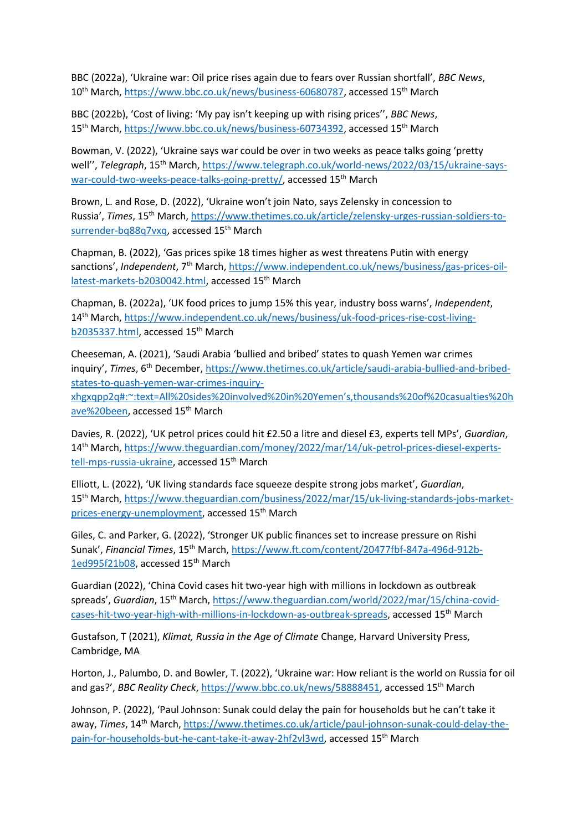BBC (2022a), 'Ukraine war: Oil price rises again due to fears over Russian shortfall', *BBC News*, 10<sup>th</sup> March, [https://www.bbc.co.uk/news/business-60680787,](https://www.bbc.co.uk/news/business-60680787) accessed 15<sup>th</sup> March

BBC (2022b), 'Cost of living: 'My pay isn't keeping up with rising prices'', *BBC News*, 15th March, [https://www.bbc.co.uk/news/business-60734392,](https://www.bbc.co.uk/news/business-60734392) accessed 15th March

Bowman, V. (2022), 'Ukraine says war could be over in two weeks as peace talks going 'pretty well", *Telegraph*, 15<sup>th</sup> March, [https://www.telegraph.co.uk/world-news/2022/03/15/ukraine-says](https://www.telegraph.co.uk/world-news/2022/03/15/ukraine-says-war-could-two-weeks-peace-talks-going-pretty/)[war-could-two-weeks-peace-talks-going-pretty/,](https://www.telegraph.co.uk/world-news/2022/03/15/ukraine-says-war-could-two-weeks-peace-talks-going-pretty/) accessed 15<sup>th</sup> March

Brown, L. and Rose, D. (2022), 'Ukraine won't join Nato, says Zelensky in concession to Russia', *Times*, 15th March, [https://www.thetimes.co.uk/article/zelensky-urges-russian-soldiers-to](https://www.thetimes.co.uk/article/zelensky-urges-russian-soldiers-to-surrender-bq88q7vxq)[surrender-bq88q7vxq,](https://www.thetimes.co.uk/article/zelensky-urges-russian-soldiers-to-surrender-bq88q7vxq) accessed 15<sup>th</sup> March

Chapman, B. (2022), 'Gas prices spike 18 times higher as west threatens Putin with energy sanctions', Independent, 7<sup>th</sup> March, [https://www.independent.co.uk/news/business/gas-prices-oil](https://www.independent.co.uk/news/business/gas-prices-oil-latest-markets-b2030042.html)[latest-markets-b2030042.html,](https://www.independent.co.uk/news/business/gas-prices-oil-latest-markets-b2030042.html) accessed 15<sup>th</sup> March

Chapman, B. (2022a), 'UK food prices to jump 15% this year, industry boss warns', *Independent*, 14<sup>th</sup> March, [https://www.independent.co.uk/news/business/uk-food-prices-rise-cost-living](https://www.independent.co.uk/news/business/uk-food-prices-rise-cost-living-b2035337.html)[b2035337.html,](https://www.independent.co.uk/news/business/uk-food-prices-rise-cost-living-b2035337.html) accessed 15<sup>th</sup> March

Cheeseman, A. (2021), 'Saudi Arabia 'bullied and bribed' states to quash Yemen war crimes inquiry', *Times*, 6<sup>th</sup> December, [https://www.thetimes.co.uk/article/saudi-arabia-bullied-and-bribed](https://www.thetimes.co.uk/article/saudi-arabia-bullied-and-bribed-states-to-quash-yemen-war-crimes-inquiry-xhgxqpp2q#:~:text=All%20sides%20involved%20in%20Yemen)[states-to-quash-yemen-war-crimes-inquiry-](https://www.thetimes.co.uk/article/saudi-arabia-bullied-and-bribed-states-to-quash-yemen-war-crimes-inquiry-xhgxqpp2q#:~:text=All%20sides%20involved%20in%20Yemen)

[xhgxqpp2q#:~:text=All%20sides%20involved%20in%20Yemen's,thousands%20of%20casualties%20h](https://www.thetimes.co.uk/article/saudi-arabia-bullied-and-bribed-states-to-quash-yemen-war-crimes-inquiry-xhgxqpp2q#:~:text=All%20sides%20involved%20in%20Yemen) [ave%20been,](https://www.thetimes.co.uk/article/saudi-arabia-bullied-and-bribed-states-to-quash-yemen-war-crimes-inquiry-xhgxqpp2q#:~:text=All%20sides%20involved%20in%20Yemen) accessed 15th March

Davies, R. (2022), 'UK petrol prices could hit £2.50 a litre and diesel £3, experts tell MPs', *Guardian*, 14th March, [https://www.theguardian.com/money/2022/mar/14/uk-petrol-prices-diesel-experts](https://www.theguardian.com/money/2022/mar/14/uk-petrol-prices-diesel-experts-tell-mps-russia-ukraine)[tell-mps-russia-ukraine,](https://www.theguardian.com/money/2022/mar/14/uk-petrol-prices-diesel-experts-tell-mps-russia-ukraine) accessed 15<sup>th</sup> March

Elliott, L. (2022), 'UK living standards face squeeze despite strong jobs market', *Guardian*, 15<sup>th</sup> March, [https://www.theguardian.com/business/2022/mar/15/uk-living-standards-jobs-market](https://www.theguardian.com/business/2022/mar/15/uk-living-standards-jobs-market-prices-energy-unemployment)[prices-energy-unemployment,](https://www.theguardian.com/business/2022/mar/15/uk-living-standards-jobs-market-prices-energy-unemployment) accessed 15<sup>th</sup> March

Giles, C. and Parker, G. (2022), 'Stronger UK public finances set to increase pressure on Rishi Sunak', *Financial Times*, 15th March, [https://www.ft.com/content/20477fbf-847a-496d-912b-](https://www.ft.com/content/20477fbf-847a-496d-912b-1ed995f21b08)[1ed995f21b08,](https://www.ft.com/content/20477fbf-847a-496d-912b-1ed995f21b08) accessed 15<sup>th</sup> March

Guardian (2022), 'China Covid cases hit two-year high with millions in lockdown as outbreak spreads', *Guardian*, 15th March, [https://www.theguardian.com/world/2022/mar/15/china-covid](https://www.theguardian.com/world/2022/mar/15/china-covid-cases-hit-two-year-high-with-millions-in-lockdown-as-outbreak-spreads)[cases-hit-two-year-high-with-millions-in-lockdown-as-outbreak-spreads,](https://www.theguardian.com/world/2022/mar/15/china-covid-cases-hit-two-year-high-with-millions-in-lockdown-as-outbreak-spreads) accessed 15<sup>th</sup> March

Gustafson, T (2021), *Klimat, Russia in the Age of Climate* Change, Harvard University Press, Cambridge, MA

Horton, J., Palumbo, D. and Bowler, T. (2022), 'Ukraine war: How reliant is the world on Russia for oil and gas?', *BBC Reality Check*, [https://www.bbc.co.uk/news/58888451,](https://www.bbc.co.uk/news/58888451) accessed 15th March

Johnson, P. (2022), 'Paul Johnson: Sunak could delay the pain for households but he can't take it away, *Times*, 14th March, [https://www.thetimes.co.uk/article/paul-johnson-sunak-could-delay-the](https://www.thetimes.co.uk/article/paul-johnson-sunak-could-delay-the-pain-for-households-but-he-cant-take-it-away-2hf2vl3wd)[pain-for-households-but-he-cant-take-it-away-2hf2vl3wd,](https://www.thetimes.co.uk/article/paul-johnson-sunak-could-delay-the-pain-for-households-but-he-cant-take-it-away-2hf2vl3wd) accessed 15th March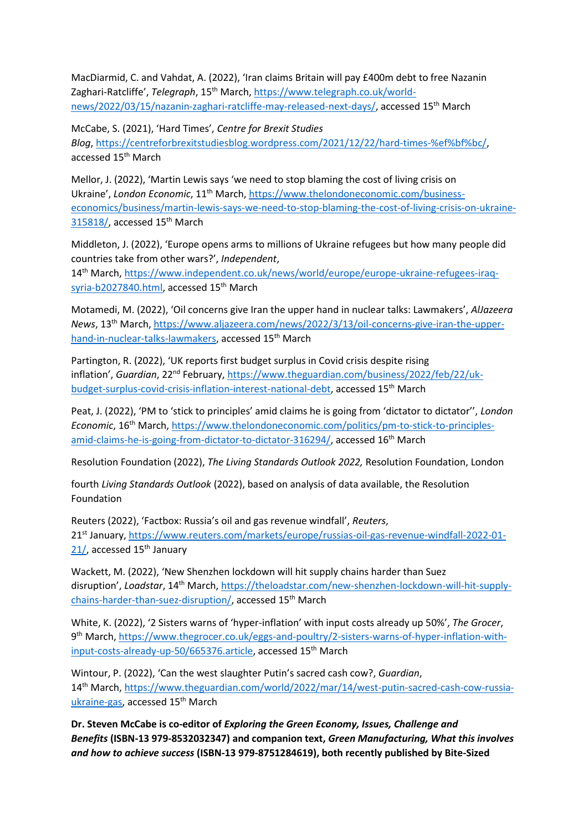MacDiarmid, C. and Vahdat, A. (2022), 'Iran claims Britain will pay £400m debt to free Nazanin Zaghari-Ratcliffe', *Telegraph*, 15<sup>th</sup> March, [https://www.telegraph.co.uk/world](https://www.telegraph.co.uk/world-news/2022/03/15/nazanin-zaghari-ratcliffe-may-released-next-days/)[news/2022/03/15/nazanin-zaghari-ratcliffe-may-released-next-days/,](https://www.telegraph.co.uk/world-news/2022/03/15/nazanin-zaghari-ratcliffe-may-released-next-days/) accessed 15th March

McCabe, S. (2021), 'Hard Times', *Centre for Brexit Studies Blog*, [https://centreforbrexitstudiesblog.wordpress.com/2021/12/22/hard-times-%ef%bf%bc/,](https://centreforbrexitstudiesblog.wordpress.com/2021/12/22/hard-times-%ef%bf%bc/) accessed 15th March

Mellor, J. (2022), 'Martin Lewis says 'we need to stop blaming the cost of living crisis on Ukraine', *London Economic*, 11th March, [https://www.thelondoneconomic.com/business](https://www.thelondoneconomic.com/business-economics/business/martin-lewis-says-we-need-to-stop-blaming-the-cost-of-living-crisis-on-ukraine-315818/)[economics/business/martin-lewis-says-we-need-to-stop-blaming-the-cost-of-living-crisis-on-ukraine-](https://www.thelondoneconomic.com/business-economics/business/martin-lewis-says-we-need-to-stop-blaming-the-cost-of-living-crisis-on-ukraine-315818/)[315818/,](https://www.thelondoneconomic.com/business-economics/business/martin-lewis-says-we-need-to-stop-blaming-the-cost-of-living-crisis-on-ukraine-315818/) accessed 15<sup>th</sup> March

Middleton, J. (2022), 'Europe opens arms to millions of Ukraine refugees but how many people did countries take from other wars?', *Independent*,

14th March, [https://www.independent.co.uk/news/world/europe/europe-ukraine-refugees-iraq](https://www.independent.co.uk/news/world/europe/europe-ukraine-refugees-iraq-syria-b2027840.html)[syria-b2027840.html,](https://www.independent.co.uk/news/world/europe/europe-ukraine-refugees-iraq-syria-b2027840.html) accessed 15<sup>th</sup> March

Motamedi, M. (2022), 'Oil concerns give Iran the upper hand in nuclear talks: Lawmakers', *AlJazeera News*, 13th March, [https://www.aljazeera.com/news/2022/3/13/oil-concerns-give-iran-the-upper](https://www.aljazeera.com/news/2022/3/13/oil-concerns-give-iran-the-upper-hand-in-nuclear-talks-lawmakers)[hand-in-nuclear-talks-lawmakers,](https://www.aljazeera.com/news/2022/3/13/oil-concerns-give-iran-the-upper-hand-in-nuclear-talks-lawmakers) accessed 15<sup>th</sup> March

Partington, R. (2022), 'UK reports first budget surplus in Covid crisis despite rising inflation', *Guardian*, 22<sup>nd</sup> February, [https://www.theguardian.com/business/2022/feb/22/uk](https://www.theguardian.com/business/2022/feb/22/uk-budget-surplus-covid-crisis-inflation-interest-national-debt)[budget-surplus-covid-crisis-inflation-interest-national-debt,](https://www.theguardian.com/business/2022/feb/22/uk-budget-surplus-covid-crisis-inflation-interest-national-debt) accessed 15th March

Peat, J. (2022), 'PM to 'stick to principles' amid claims he is going from 'dictator to dictator'', *London Economic*, 16th March, [https://www.thelondoneconomic.com/politics/pm-to-stick-to-principles](https://www.thelondoneconomic.com/politics/pm-to-stick-to-principles-amid-claims-he-is-going-from-dictator-to-dictator-316294/)[amid-claims-he-is-going-from-dictator-to-dictator-316294/,](https://www.thelondoneconomic.com/politics/pm-to-stick-to-principles-amid-claims-he-is-going-from-dictator-to-dictator-316294/) accessed 16<sup>th</sup> March

Resolution Foundation (2022), *The Living Standards Outlook 2022,* Resolution Foundation, London

fourth *Living Standards Outlook* (2022), based on analysis of data available, the Resolution Foundation

Reuters (2022), 'Factbox: Russia's oil and gas revenue windfall', *Reuters*, 21st January, [https://www.reuters.com/markets/europe/russias-oil-gas-revenue-windfall-2022-01-](https://www.reuters.com/markets/europe/russias-oil-gas-revenue-windfall-2022-01-21/) [21/,](https://www.reuters.com/markets/europe/russias-oil-gas-revenue-windfall-2022-01-21/) accessed 15<sup>th</sup> January

Wackett, M. (2022), 'New Shenzhen lockdown will hit supply chains harder than Suez disruption', *Loadstar*, 14<sup>th</sup> March, [https://theloadstar.com/new-shenzhen-lockdown-will-hit-supply](https://theloadstar.com/new-shenzhen-lockdown-will-hit-supply-chains-harder-than-suez-disruption/)[chains-harder-than-suez-disruption/,](https://theloadstar.com/new-shenzhen-lockdown-will-hit-supply-chains-harder-than-suez-disruption/) accessed 15<sup>th</sup> March

White, K. (2022), '2 Sisters warns of 'hyper-inflation' with input costs already up 50%', *The Grocer*, 9<sup>th</sup> March, [https://www.thegrocer.co.uk/eggs-and-poultry/2-sisters-warns-of-hyper-inflation-with](https://www.thegrocer.co.uk/eggs-and-poultry/2-sisters-warns-of-hyper-inflation-with-input-costs-already-up-50/665376.article)[input-costs-already-up-50/665376.article,](https://www.thegrocer.co.uk/eggs-and-poultry/2-sisters-warns-of-hyper-inflation-with-input-costs-already-up-50/665376.article) accessed 15<sup>th</sup> March

Wintour, P. (2022), 'Can the west slaughter Putin's sacred cash cow?, *Guardian*, 14th March, [https://www.theguardian.com/world/2022/mar/14/west-putin-sacred-cash-cow-russia](https://www.theguardian.com/world/2022/mar/14/west-putin-sacred-cash-cow-russia-ukraine-gas)[ukraine-gas,](https://www.theguardian.com/world/2022/mar/14/west-putin-sacred-cash-cow-russia-ukraine-gas) accessed 15<sup>th</sup> March

**Dr. Steven McCabe is co-editor of** *Exploring the Green Economy, Issues, Challenge and Benefits* **(ISBN-13 979-8532032347) and companion text,** *Green Manufacturing, What this involves and how to achieve success* **(ISBN-13 979-8751284619), both recently published by Bite-Sized**